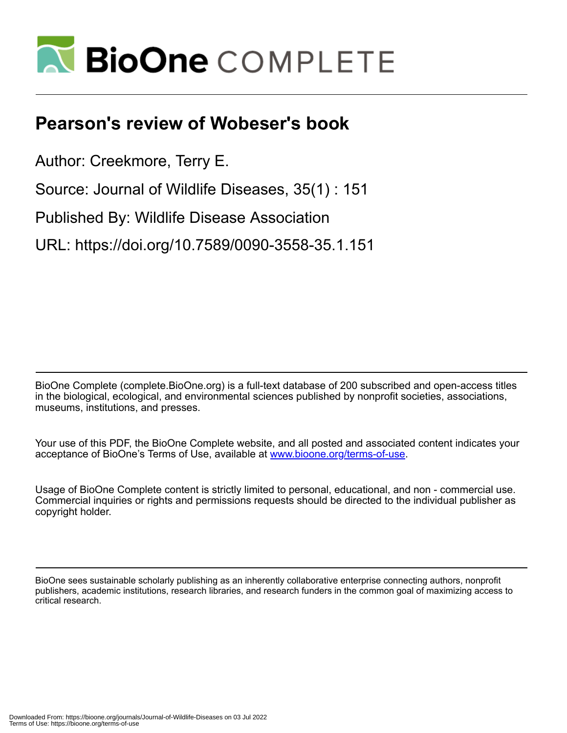

## **Pearson's review of Wobeser's book**

Author: Creekmore, Terry E.

Source: Journal of Wildlife Diseases, 35(1) : 151

Published By: Wildlife Disease Association

URL: https://doi.org/10.7589/0090-3558-35.1.151

BioOne Complete (complete.BioOne.org) is a full-text database of 200 subscribed and open-access titles in the biological, ecological, and environmental sciences published by nonprofit societies, associations, museums, institutions, and presses.

Your use of this PDF, the BioOne Complete website, and all posted and associated content indicates your acceptance of BioOne's Terms of Use, available at www.bioone.org/terms-of-use.

Usage of BioOne Complete content is strictly limited to personal, educational, and non - commercial use. Commercial inquiries or rights and permissions requests should be directed to the individual publisher as copyright holder.

BioOne sees sustainable scholarly publishing as an inherently collaborative enterprise connecting authors, nonprofit publishers, academic institutions, research libraries, and research funders in the common goal of maximizing access to critical research.